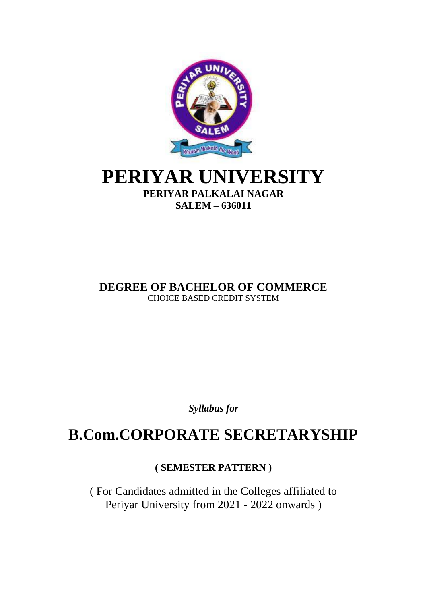

## **PERIYAR UNIVERSITY PERIYAR PALKALAI NAGAR SALEM – 636011**

**DEGREE OF BACHELOR OF COMMERCE** CHOICE BASED CREDIT SYSTEM

*Syllabus for*

# **B.Com.CORPORATE SECRETARYSHIP**

**( SEMESTER PATTERN )**

( For Candidates admitted in the Colleges affiliated to Periyar University from 2021 - 2022 onwards )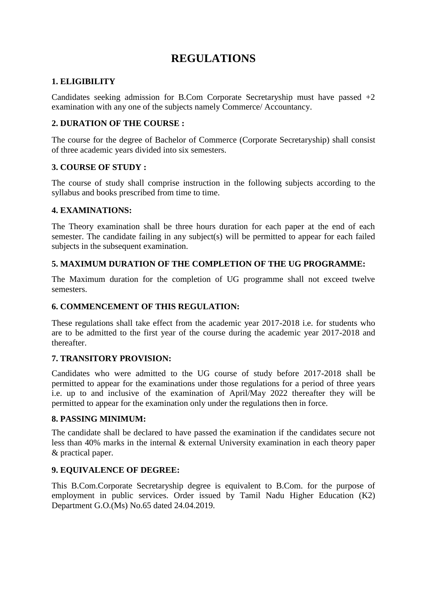## **REGULATIONS**

## **1. ELIGIBILITY**

Candidates seeking admission for B.Com Corporate Secretaryship must have passed  $+2$ examination with any one of the subjects namely Commerce/ Accountancy.

## **2. DURATION OF THE COURSE :**

The course for the degree of Bachelor of Commerce (Corporate Secretaryship) shall consist of three academic years divided into six semesters.

## **3. COURSE OF STUDY :**

The course of study shall comprise instruction in the following subjects according to the syllabus and books prescribed from time to time.

## **4. EXAMINATIONS:**

The Theory examination shall be three hours duration for each paper at the end of each semester. The candidate failing in any subject(s) will be permitted to appear for each failed subjects in the subsequent examination.

## **5. MAXIMUM DURATION OF THE COMPLETION OF THE UG PROGRAMME:**

The Maximum duration for the completion of UG programme shall not exceed twelve semesters.

## **6. COMMENCEMENT OF THIS REGULATION:**

These regulations shall take effect from the academic year 2017-2018 i.e. for students who are to be admitted to the first year of the course during the academic year 2017-2018 and thereafter.

## **7. TRANSITORY PROVISION:**

Candidates who were admitted to the UG course of study before 2017-2018 shall be permitted to appear for the examinations under those regulations for a period of three years i.e. up to and inclusive of the examination of April/May 2022 thereafter they will be permitted to appear for the examination only under the regulations then in force.

#### **8. PASSING MINIMUM:**

The candidate shall be declared to have passed the examination if the candidates secure not less than 40% marks in the internal & external University examination in each theory paper & practical paper.

#### **9. EQUIVALENCE OF DEGREE:**

This B.Com.Corporate Secretaryship degree is equivalent to B.Com. for the purpose of employment in public services. Order issued by Tamil Nadu Higher Education (K2) Department G.O.(Ms) No.65 dated 24.04.2019.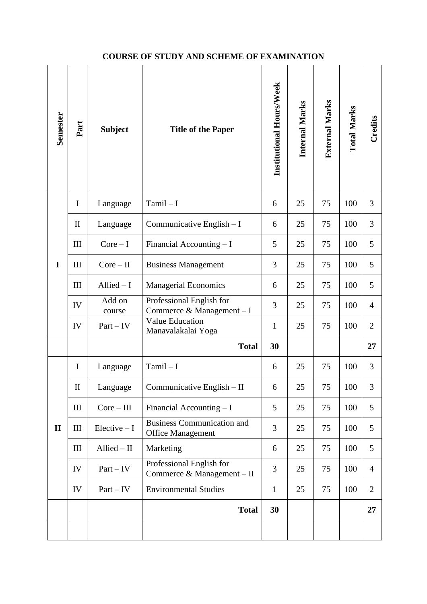## **COURSE OF STUDY AND SCHEME OF EXAMINATION**

| Semester     | Part         | <b>Subject</b>   | <b>Title of the Paper</b>                                     | Institutional Hours/Week | Internal Marks | <b>External Marks</b> | <b>Total Marks</b> | Credits        |
|--------------|--------------|------------------|---------------------------------------------------------------|--------------------------|----------------|-----------------------|--------------------|----------------|
|              | I            | Language         | $Tamil - I$                                                   | 6                        | 25             | 75                    | 100                | 3              |
|              | $\mathbf{I}$ | Language         | Communicative English $-I$                                    | 6                        | 25             | 75                    | 100                | 3              |
|              | III          | $Core-I$         | Financial Accounting $-I$                                     | 5                        | 25             | 75                    | 100                | 5              |
| I            | III          | $Core-II$        | <b>Business Management</b>                                    | 3                        | 25             | 75                    | 100                | 5              |
|              | III          | Allied $-1$      | <b>Managerial Economics</b>                                   | 6                        | 25             | 75                    | 100                | 5              |
|              | IV           | Add on<br>course | Professional English for<br>Commerce & Management - I         | 3                        | 25             | 75                    | 100                | $\overline{4}$ |
|              | IV           | $Part - IV$      | <b>Value Education</b><br>Manavalakalai Yoga                  | $\mathbf{1}$             | 25             | 75                    | 100                | $\overline{2}$ |
|              |              |                  | <b>Total</b>                                                  | 30                       |                |                       |                    | 27             |
|              | I            | Language         | $Tamil - I$                                                   | 6                        | 25             | 75                    | 100                | 3              |
|              | $\mathbf{I}$ | Language         | Communicative English - II                                    | 6                        | 25             | 75                    | 100                | 3              |
|              | $\rm III$    | $Core-III$       | Financial Accounting $-I$                                     | 5                        | 25             | 75                    | 100                | 5              |
| $\mathbf{I}$ | III          | $Electric - I$   | <b>Business Communication and</b><br><b>Office Management</b> | 3                        | 25             | 75                    | 100                | 5              |
|              | III          | $Allied - II$    | Marketing                                                     | 6                        | 25             | 75                    | 100                | 5              |
|              | IV           | $Part - IV$      | Professional English for<br>Commerce & Management - II        | 3                        | 25             | 75                    | 100                | $\overline{4}$ |
|              | IV           | $Part - IV$      | <b>Environmental Studies</b>                                  | $\mathbf{1}$             | 25             | 75                    | 100                | $\overline{2}$ |
|              |              |                  | <b>Total</b>                                                  | 30                       |                |                       |                    | 27             |
|              |              |                  |                                                               |                          |                |                       |                    |                |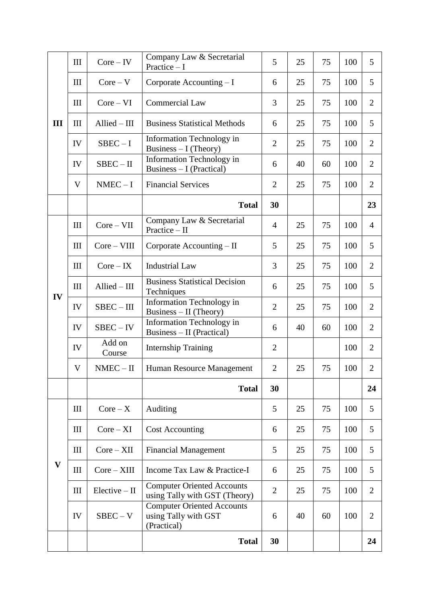|              | III | $Core - IV$      | Company Law & Secretarial<br>Practice $-I$                               | 5              | 25 | 75 | 100 | 5              |
|--------------|-----|------------------|--------------------------------------------------------------------------|----------------|----|----|-----|----------------|
| III          | III | $Core - V$       | Corporate Accounting $-I$                                                | 6              | 25 | 75 | 100 | 5              |
|              | III | $Core-VI$        | <b>Commercial Law</b>                                                    | 3              | 25 | 75 | 100 | $\overline{2}$ |
|              | III | Allied - III     | <b>Business Statistical Methods</b>                                      | 6              | 25 | 75 | 100 | 5              |
|              | IV  | $SBEC-I$         | Information Technology in<br>Business $- I$ (Theory)                     | $\overline{2}$ | 25 | 75 | 100 | $\overline{2}$ |
|              | IV  | SBEC – II        | Information Technology in<br>Business $-I$ (Practical)                   | 6              | 40 | 60 | 100 | $\overline{2}$ |
|              | V   | $NMEC - I$       | <b>Financial Services</b>                                                | $\overline{2}$ | 25 | 75 | 100 | $\overline{2}$ |
|              |     |                  | <b>Total</b>                                                             | 30             |    |    |     | 23             |
|              | III | $Core-VII$       | Company Law & Secretarial<br>Practice $-$ II                             | $\overline{4}$ | 25 | 75 | 100 | $\overline{4}$ |
|              | III | $Core-VIII$      | Corporate Accounting $-II$                                               | 5              | 25 | 75 | 100 | 5              |
|              | III | $Core - IX$      | <b>Industrial Law</b>                                                    | 3              | 25 | 75 | 100 | $\overline{2}$ |
| IV           | III | Allied - III     | <b>Business Statistical Decision</b><br>Techniques                       | 6              | 25 | 75 | 100 | 5              |
|              | IV  | SBEC – III       | Information Technology in<br>Business - II (Theory)                      | $\overline{2}$ | 25 | 75 | 100 | $\overline{2}$ |
|              | IV  | SBEC – IV        | Information Technology in<br>Business - II (Practical)                   | 6              | 40 | 60 | 100 | $\overline{2}$ |
|              | IV  | Add on<br>Course | <b>Internship Training</b>                                               | $\overline{2}$ |    |    | 100 | $\overline{2}$ |
|              | V   | $NMEC - II$      | Human Resource Management                                                | $\overline{2}$ | 25 | 75 | 100 | $\overline{2}$ |
|              |     |                  | <b>Total</b>                                                             | 30             |    |    |     | 24             |
|              | III | $Core - X$       | Auditing                                                                 | 5              | 25 | 75 | 100 | 5              |
| $\mathbf{V}$ | III | $Core - XI$      | <b>Cost Accounting</b>                                                   | 6              | 25 | 75 | 100 | 5              |
|              | III | $Core - XII$     | <b>Financial Management</b>                                              | 5              | 25 | 75 | 100 | 5              |
|              | Ш   | $Core - XIII$    | Income Tax Law & Practice-I                                              | 6              | 25 | 75 | 100 | 5              |
|              | Ш   | $Electric - II$  | <b>Computer Oriented Accounts</b><br>using Tally with GST (Theory)       | $\overline{2}$ | 25 | 75 | 100 | $\overline{2}$ |
|              | IV  | $SBEC - V$       | <b>Computer Oriented Accounts</b><br>using Tally with GST<br>(Practical) | 6              | 40 | 60 | 100 | $\overline{2}$ |
|              |     |                  | <b>Total</b>                                                             | 30             |    |    |     | 24             |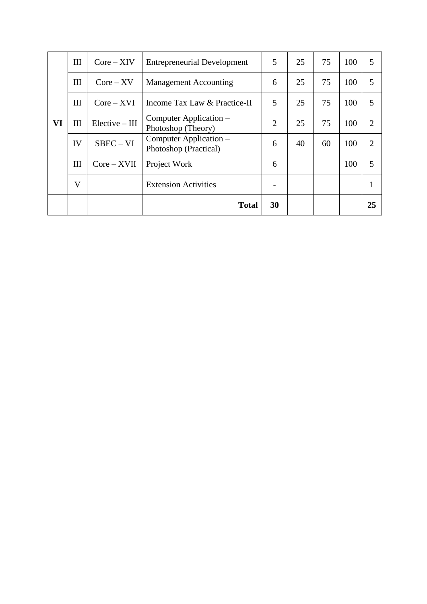|           | III | $Core - XIV$     | <b>Entrepreneurial Development</b>              | 5              | 25 | 75 | 100 | 5              |
|-----------|-----|------------------|-------------------------------------------------|----------------|----|----|-----|----------------|
|           | Ш   | $Core - XV$      | <b>Management Accounting</b>                    | 6              | 25 | 75 | 100 | 5              |
|           | Ш   | $Core - XVI$     | Income Tax Law & Practice-II                    | 5              | 25 | 75 | 100 | 5              |
| <b>VI</b> | Ш   | $Electric - III$ | Computer Application –<br>Photoshop (Theory)    | $\overline{2}$ | 25 | 75 | 100 | $\overline{2}$ |
|           | IV  | $SBEC - VI$      | Computer Application –<br>Photoshop (Practical) | 6              | 40 | 60 | 100 | $\overline{2}$ |
|           | III | $Core - XVII$    | Project Work                                    | 6              |    |    | 100 | 5              |
|           | V   |                  | <b>Extension Activities</b>                     |                |    |    |     |                |
|           |     |                  | <b>Total</b>                                    | 30             |    |    |     | 25             |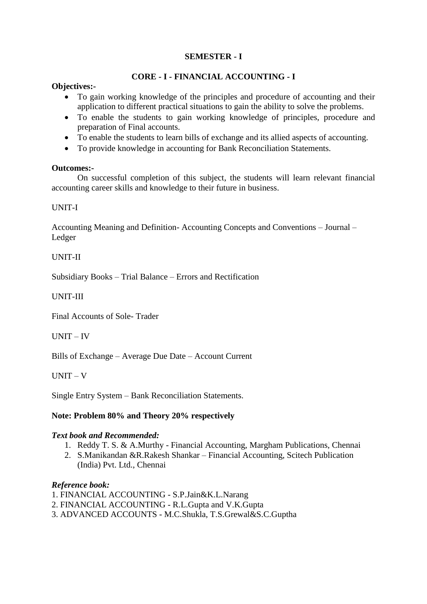## **CORE - I - FINANCIAL ACCOUNTING - I**

#### **Objectives:-**

- To gain working knowledge of the principles and procedure of accounting and their application to different practical situations to gain the ability to solve the problems.
- To enable the students to gain working knowledge of principles, procedure and preparation of Final accounts.
- To enable the students to learn bills of exchange and its allied aspects of accounting.
- To provide knowledge in accounting for Bank Reconciliation Statements.

#### **Outcomes:-**

On successful completion of this subject, the students will learn relevant financial accounting career skills and knowledge to their future in business.

#### UNIT-I

Accounting Meaning and Definition- Accounting Concepts and Conventions – Journal – Ledger

#### UNIT-II

Subsidiary Books – Trial Balance – Errors and Rectification

#### UNIT-III

Final Accounts of Sole- Trader

#### UNIT – IV

Bills of Exchange – Average Due Date – Account Current

UNIT – V

Single Entry System – Bank Reconciliation Statements.

#### **Note: Problem 80% and Theory 20% respectively**

#### *Text book and Recommended:*

- 1. Reddy T. S. & A.Murthy Financial Accounting, Margham Publications, Chennai
- 2. S.Manikandan &R.Rakesh Shankar Financial Accounting, Scitech Publication (India) Pvt. Ltd., Chennai

#### *Reference book:*

- 1. FINANCIAL ACCOUNTING S.P.Jain&K.L.Narang
- 2. FINANCIAL ACCOUNTING R.L.Gupta and V.K.Gupta
- 3. ADVANCED ACCOUNTS M.C.Shukla, T.S.Grewal&S.C.Guptha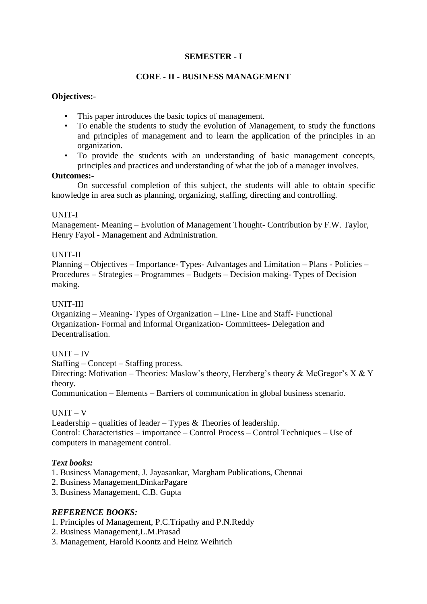### **CORE - II - BUSINESS MANAGEMENT**

### **Objectives:-**

- This paper introduces the basic topics of management.
- To enable the students to study the evolution of Management, to study the functions and principles of management and to learn the application of the principles in an organization.
- To provide the students with an understanding of basic management concepts, principles and practices and understanding of what the job of a manager involves.

#### **Outcomes:-**

On successful completion of this subject, the students will able to obtain specific knowledge in area such as planning, organizing, staffing, directing and controlling.

#### UNIT-I

Management- Meaning – Evolution of Management Thought- Contribution by F.W. Taylor, Henry Fayol - Management and Administration.

#### UNIT-II

Planning – Objectives – Importance- Types- Advantages and Limitation – Plans - Policies – Procedures – Strategies – Programmes – Budgets – Decision making- Types of Decision making.

#### UNIT-III

Organizing – Meaning- Types of Organization – Line- Line and Staff- Functional Organization- Formal and Informal Organization- Committees- Delegation and Decentralisation.

#### UNIT – IV

Staffing – Concept – Staffing process.

Directing: Motivation – Theories: Maslow's theory, Herzberg's theory & McGregor's X & Y theory.

Communication – Elements – Barriers of communication in global business scenario.

#### $UNIT - V$

Leadership – qualities of leader – Types  $\&$  Theories of leadership. Control: Characteristics – importance – Control Process – Control Techniques – Use of computers in management control.

#### *Text books:*

- 1. Business Management, J. Jayasankar, Margham Publications, Chennai
- 2. Business Management,DinkarPagare
- 3. Business Management, C.B. Gupta

## *REFERENCE BOOKS:*

- 1. Principles of Management, P.C.Tripathy and P.N.Reddy
- 2. Business Management,L.M.Prasad
- 3. Management, Harold Koontz and Heinz Weihrich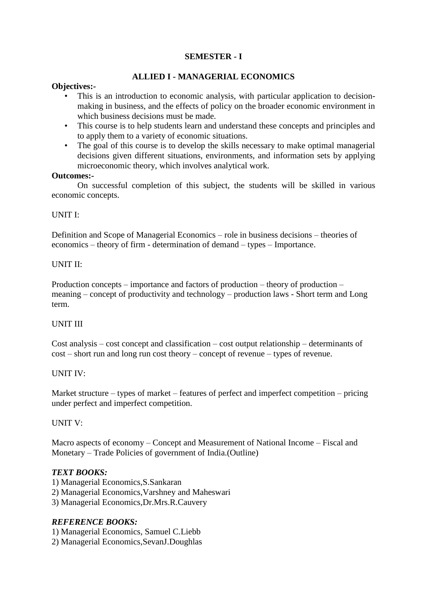## **ALLIED I - MANAGERIAL ECONOMICS**

#### **Objectives:-**

- This is an introduction to economic analysis, with particular application to decisionmaking in business, and the effects of policy on the broader economic environment in which business decisions must be made.
- This course is to help students learn and understand these concepts and principles and to apply them to a variety of economic situations.
- The goal of this course is to develop the skills necessary to make optimal managerial decisions given different situations, environments, and information sets by applying microeconomic theory, which involves analytical work.

#### **Outcomes:-**

On successful completion of this subject, the students will be skilled in various economic concepts.

#### UNIT I:

Definition and Scope of Managerial Economics – role in business decisions – theories of economics – theory of firm - determination of demand – types – Importance.

#### UNIT II:

Production concepts – importance and factors of production – theory of production – meaning – concept of productivity and technology – production laws - Short term and Long term.

#### UNIT III

Cost analysis – cost concept and classification – cost output relationship – determinants of cost – short run and long run cost theory – concept of revenue – types of revenue.

#### UNIT IV:

Market structure – types of market – features of perfect and imperfect competition – pricing under perfect and imperfect competition.

#### UNIT V:

Macro aspects of economy – Concept and Measurement of National Income – Fiscal and Monetary – Trade Policies of government of India.(Outline)

#### *TEXT BOOKS:*

1) Managerial Economics,S.Sankaran

- 2) Managerial Economics,Varshney and Maheswari
- 3) Managerial Economics,Dr.Mrs.R.Cauvery

#### *REFERENCE BOOKS:*

- 1) Managerial Economics, Samuel C.Liebb
- 2) Managerial Economics,SevanJ.Doughlas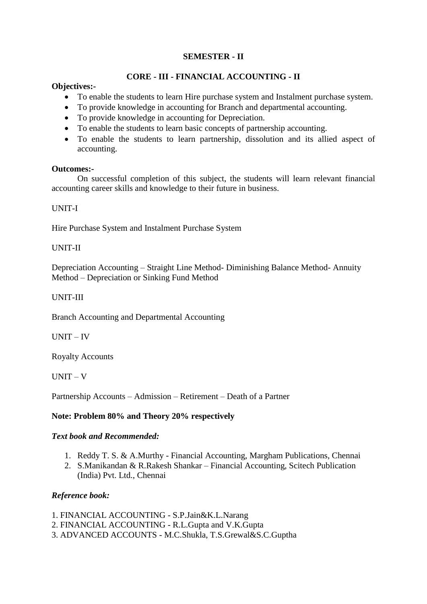## **CORE - III - FINANCIAL ACCOUNTING - II**

#### **Objectives:-**

- To enable the students to learn Hire purchase system and Instalment purchase system.
- To provide knowledge in accounting for Branch and departmental accounting.
- To provide knowledge in accounting for Depreciation.
- To enable the students to learn basic concepts of partnership accounting.
- To enable the students to learn partnership, dissolution and its allied aspect of accounting.

#### **Outcomes:-**

On successful completion of this subject, the students will learn relevant financial accounting career skills and knowledge to their future in business.

#### UNIT-I

Hire Purchase System and Instalment Purchase System

## UNIT-II

Depreciation Accounting – Straight Line Method- Diminishing Balance Method- Annuity Method – Depreciation or Sinking Fund Method

## UNIT-III

Branch Accounting and Departmental Accounting

UNIT – IV

Royalty Accounts

UNIT – V

Partnership Accounts – Admission – Retirement – Death of a Partner

## **Note: Problem 80% and Theory 20% respectively**

#### *Text book and Recommended:*

- 1. Reddy T. S. & A.Murthy Financial Accounting, Margham Publications, Chennai
- 2. S.Manikandan & R.Rakesh Shankar Financial Accounting, Scitech Publication (India) Pvt. Ltd., Chennai

## *Reference book:*

- 1. FINANCIAL ACCOUNTING S.P.Jain&K.L.Narang
- 2. FINANCIAL ACCOUNTING R.L.Gupta and V.K.Gupta
- 3. ADVANCED ACCOUNTS M.C.Shukla, T.S.Grewal&S.C.Guptha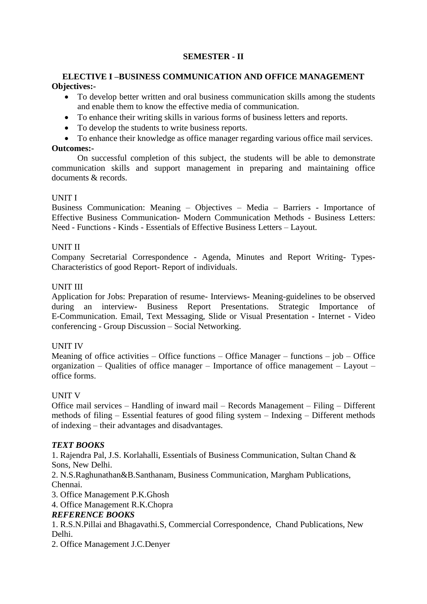#### **ELECTIVE I –BUSINESS COMMUNICATION AND OFFICE MANAGEMENT Objectives:-**

- To develop better written and oral business communication skills among the students and enable them to know the effective media of communication.
- To enhance their writing skills in various forms of business letters and reports.
- To develop the students to write business reports.
- To enhance their knowledge as office manager regarding various office mail services.

#### **Outcomes:-**

On successful completion of this subject, the students will be able to demonstrate communication skills and support management in preparing and maintaining office documents & records.

#### UNIT I

Business Communication: Meaning – Objectives – Media – Barriers - Importance of Effective Business Communication- Modern Communication Methods - Business Letters: Need - Functions - Kinds - Essentials of Effective Business Letters – Layout.

## UNIT II

Company Secretarial Correspondence - Agenda, Minutes and Report Writing- Types-Characteristics of good Report- Report of individuals.

## UNIT III

Application for Jobs: Preparation of resume- Interviews- Meaning-guidelines to be observed during an interview- Business Report Presentations. Strategic Importance of E-Communication. Email, Text Messaging, Slide or Visual Presentation - Internet - Video conferencing - Group Discussion – Social Networking.

#### UNIT IV

Meaning of office activities – Office functions – Office Manager – functions – job – Office organization – Qualities of office manager – Importance of office management – Layout – office forms.

## UNIT V

Office mail services – Handling of inward mail – Records Management – Filing – Different methods of filing – Essential features of good filing system – Indexing – Different methods of indexing – their advantages and disadvantages.

## *TEXT BOOKS*

1. Rajendra Pal, J.S. Korlahalli, Essentials of Business Communication, Sultan Chand & Sons, New Delhi.

2. N.S.Raghunathan&B.Santhanam, Business Communication, Margham Publications, Chennai.

3. Office Management P.K.Ghosh

4. Office Management R.K.Chopra

#### *REFERENCE BOOKS*

1. R.S.N.Pillai and Bhagavathi.S, Commercial Correspondence, Chand Publications, New Delhi.

2. Office Management J.C.Denyer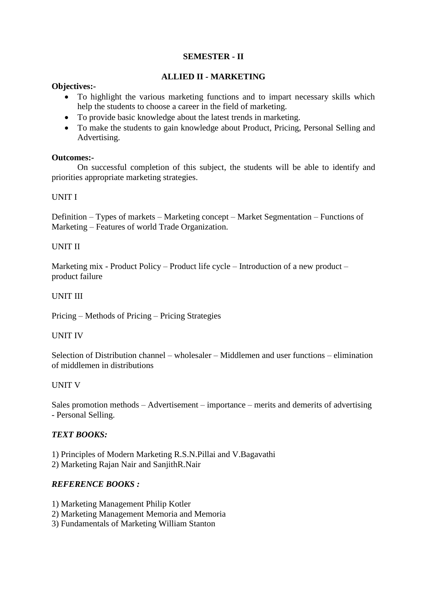## **ALLIED II - MARKETING**

#### **Objectives:-**

- To highlight the various marketing functions and to impart necessary skills which help the students to choose a career in the field of marketing.
- To provide basic knowledge about the latest trends in marketing.
- To make the students to gain knowledge about Product, Pricing, Personal Selling and Advertising.

#### **Outcomes:-**

On successful completion of this subject, the students will be able to identify and priorities appropriate marketing strategies.

#### UNIT I

Definition – Types of markets – Marketing concept – Market Segmentation – Functions of Marketing – Features of world Trade Organization.

#### UNIT II

Marketing mix - Product Policy – Product life cycle – Introduction of a new product – product failure

#### UNIT III

Pricing – Methods of Pricing – Pricing Strategies

#### UNIT IV

Selection of Distribution channel – wholesaler – Middlemen and user functions – elimination of middlemen in distributions

#### UNIT V

Sales promotion methods – Advertisement – importance – merits and demerits of advertising - Personal Selling.

#### *TEXT BOOKS:*

1) Principles of Modern Marketing R.S.N.Pillai and V.Bagavathi 2) Marketing Rajan Nair and SanjithR.Nair

#### *REFERENCE BOOKS :*

- 1) Marketing Management Philip Kotler
- 2) Marketing Management Memoria and Memoria
- 3) Fundamentals of Marketing William Stanton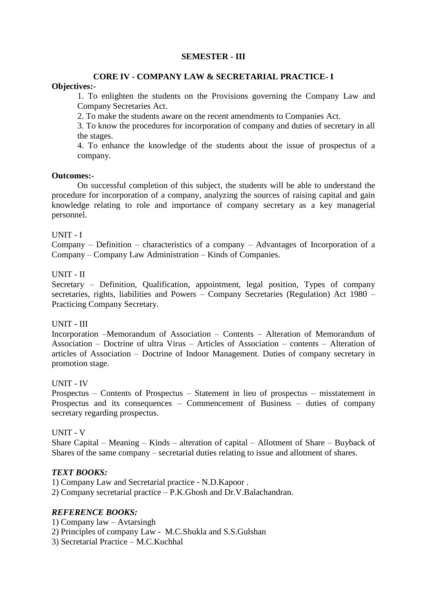#### **CORE IV - COMPANY LAW & SECRETARIAL PRACTICE- I Objectives:-**

1. To enlighten the students on the Provisions governing the Company Law and Company Secretaries Act.

2. To make the students aware on the recent amendments to Companies Act.

3. To know the procedures for incorporation of company and duties of secretary in all the stages.

4. To enhance the knowledge of the students about the issue of prospectus of a company.

#### **Outcomes:-**

On successful completion of this subject, the students will be able to understand the procedure for incorporation of a company, analyzing the sources of raising capital and gain knowledge relating to role and importance of company secretary as a key managerial personnel.

#### UNIT - I

Company – Definition – characteristics of a company – Advantages of Incorporation of a Company – Company Law Administration – Kinds of Companies.

#### UNIT - II

Secretary – Definition, Qualification, appointment, legal position, Types of company secretaries, rights, liabilities and Powers – Company Secretaries (Regulation) Act 1980 – Practicing Company Secretary.

#### UNIT - III

Incorporation –Memorandum of Association – Contents – Alteration of Memorandum of Association – Doctrine of ultra Virus – Articles of Association – contents – Alteration of articles of Association – Doctrine of Indoor Management. Duties of company secretary in promotion stage.

#### UNIT - IV

Prospectus – Contents of Prospectus – Statement in lieu of prospectus – misstatement in Prospectus and its consequences – Commencement of Business – duties of company secretary regarding prospectus.

#### UNIT - V

Share Capital – Meaning – Kinds – alteration of capital – Allotment of Share – Buyback of Shares of the same company – secretarial duties relating to issue and allotment of shares.

#### *TEXT BOOKS:*

1) Company Law and Secretarial practice - N.D.Kapoor .

2) Company secretarial practice – P.K.Ghosh and Dr.V.Balachandran.

#### *REFERENCE BOOKS:*

- 1) Company law Avtarsingh
- 2) Principles of company Law M.C.Shukla and S.S.Gulshan

3) Secretarial Practice – M.C.Kuchhal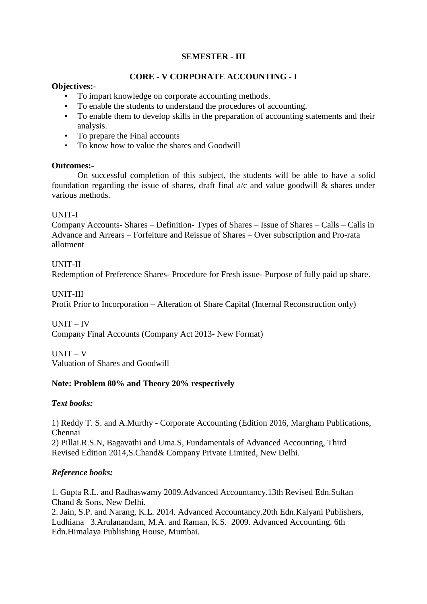## **CORE - V CORPORATE ACCOUNTING - I**

### **Objectives:-**

- To impart knowledge on corporate accounting methods.
- To enable the students to understand the procedures of accounting.
- To enable them to develop skills in the preparation of accounting statements and their analysis.
- To prepare the Final accounts
- To know how to value the shares and Goodwill

#### **Outcomes:-**

On successful completion of this subject, the students will be able to have a solid foundation regarding the issue of shares, draft final  $a/c$  and value goodwill & shares under various methods.

#### UNIT-I

Company Accounts- Shares – Definition- Types of Shares – Issue of Shares – Calls – Calls in Advance and Arrears – Forfeiture and Reissue of Shares – Over subscription and Pro-rata allotment

## UNIT-II

Redemption of Preference Shares- Procedure for Fresh issue- Purpose of fully paid up share.

#### UNIT-III

Profit Prior to Incorporation – Alteration of Share Capital (Internal Reconstruction only)

UNIT – IV

Company Final Accounts (Company Act 2013- New Format)

UNIT – V Valuation of Shares and Goodwill

## **Note: Problem 80% and Theory 20% respectively**

#### *Text books:*

1) Reddy T. S. and A.Murthy - Corporate Accounting (Edition 2016, Margham Publications, Chennai 2) Pillai.R.S.N, Bagavathi and Uma.S, Fundamentals of Advanced Accounting, Third Revised Edition 2014,S.Chand& Company Private Limited, New Delhi.

## *Reference books:*

1. Gupta R.L. and Radhaswamy 2009.Advanced Accountancy.13th Revised Edn.Sultan Chand & Sons, New Delhi.

2. Jain, S.P. and Narang, K.L. 2014. Advanced Accountancy.20th Edn.Kalyani Publishers, Ludhiana 3.Arulanandam, M.A. and Raman, K.S. 2009. Advanced Accounting. 6th Edn.Himalaya Publishing House, Mumbai.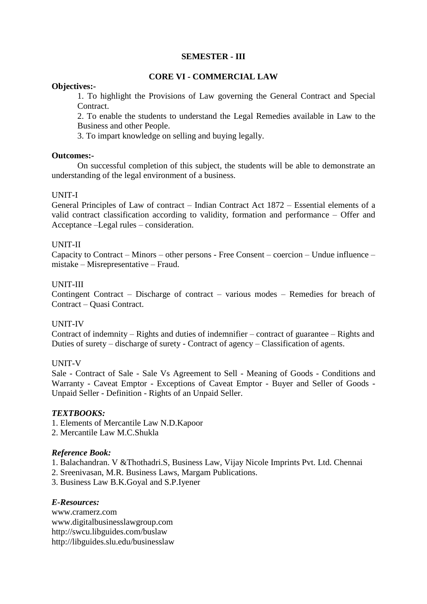### **CORE VI - COMMERCIAL LAW**

#### **Objectives:-**

1. To highlight the Provisions of Law governing the General Contract and Special Contract.

2. To enable the students to understand the Legal Remedies available in Law to the Business and other People.

3. To impart knowledge on selling and buying legally.

#### **Outcomes:-**

On successful completion of this subject, the students will be able to demonstrate an understanding of the legal environment of a business.

#### UNIT-I

General Principles of Law of contract – Indian Contract Act 1872 – Essential elements of a valid contract classification according to validity, formation and performance – Offer and Acceptance –Legal rules – consideration.

#### UNIT-II

Capacity to Contract – Minors – other persons - Free Consent – coercion – Undue influence – mistake – Misrepresentative – Fraud.

#### UNIT-III

Contingent Contract – Discharge of contract – various modes – Remedies for breach of Contract – Quasi Contract.

#### UNIT-IV

Contract of indemnity – Rights and duties of indemnifier – contract of guarantee – Rights and Duties of surety – discharge of surety - Contract of agency – Classification of agents.

#### UNIT-V

Sale - Contract of Sale - Sale Vs Agreement to Sell - Meaning of Goods - Conditions and Warranty - Caveat Emptor - Exceptions of Caveat Emptor - Buyer and Seller of Goods - Unpaid Seller - Definition - Rights of an Unpaid Seller.

#### *TEXTBOOKS:*

- 1. Elements of Mercantile Law N.D.Kapoor
- 2. Mercantile Law M.C.Shukla

#### *Reference Book:*

- 1. Balachandran. V &Thothadri.S, Business Law, Vijay Nicole Imprints Pvt. Ltd. Chennai
- 2. Sreenivasan, M.R. Business Laws, Margam Publications.
- 3. Business Law B.K.Goyal and S.P.Iyener

#### *E-Resources:*

www.cramerz.com www.digitalbusinesslawgroup.com http://swcu.libguides.com/buslaw http://libguides.slu.edu/businesslaw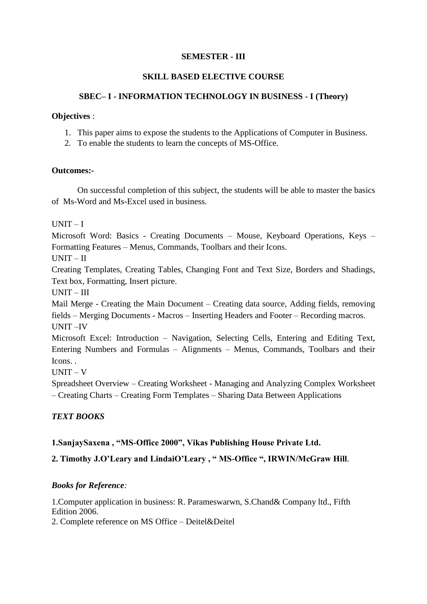## **SKILL BASED ELECTIVE COURSE**

## **SBEC– I - INFORMATION TECHNOLOGY IN BUSINESS - I (Theory)**

#### **Objectives** :

- 1. This paper aims to expose the students to the Applications of Computer in Business.
- 2. To enable the students to learn the concepts of MS-Office.

#### **Outcomes:-**

On successful completion of this subject, the students will be able to master the basics of Ms-Word and Ms-Excel used in business.

 $IINT - I$ 

Microsoft Word: Basics - Creating Documents – Mouse, Keyboard Operations, Keys – Formatting Features – Menus, Commands, Toolbars and their Icons.

UNIT – II

Creating Templates, Creating Tables, Changing Font and Text Size, Borders and Shadings, Text box, Formatting, Insert picture.

UNIT – III

Mail Merge - Creating the Main Document – Creating data source, Adding fields, removing fields – Merging Documents - Macros – Inserting Headers and Footer – Recording macros. UNIT –IV

Microsoft Excel: Introduction – Navigation, Selecting Cells, Entering and Editing Text, Entering Numbers and Formulas – Alignments – Menus, Commands, Toolbars and their Icons. .

UNIT – V

Spreadsheet Overview – Creating Worksheet - Managing and Analyzing Complex Worksheet – Creating Charts – Creating Form Templates – Sharing Data Between Applications

## *TEXT BOOKS*

## **1.SanjaySaxena , "MS-Office 2000", Vikas Publishing House Private Ltd.**

**2. Timothy J.O'Leary and LindaiO'Leary , " MS-Office ", IRWIN/McGraw Hill**.

#### *Books for Reference:*

1.Computer application in business: R. Parameswarwn, S.Chand& Company ltd., Fifth Edition 2006.

2. Complete reference on MS Office – Deitel&Deitel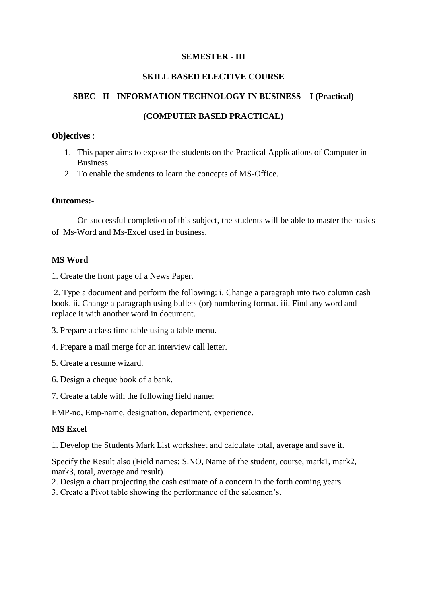## **SKILL BASED ELECTIVE COURSE**

## **SBEC - II - INFORMATION TECHNOLOGY IN BUSINESS – I (Practical)**

## **(COMPUTER BASED PRACTICAL)**

#### **Objectives** :

- 1. This paper aims to expose the students on the Practical Applications of Computer in Business.
- 2. To enable the students to learn the concepts of MS-Office.

#### **Outcomes:-**

On successful completion of this subject, the students will be able to master the basics of Ms-Word and Ms-Excel used in business.

## **MS Word**

1. Create the front page of a News Paper.

2. Type a document and perform the following: i. Change a paragraph into two column cash book. ii. Change a paragraph using bullets (or) numbering format. iii. Find any word and replace it with another word in document.

- 3. Prepare a class time table using a table menu.
- 4. Prepare a mail merge for an interview call letter.
- 5. Create a resume wizard.
- 6. Design a cheque book of a bank.
- 7. Create a table with the following field name:

EMP-no, Emp-name, designation, department, experience.

#### **MS Excel**

1. Develop the Students Mark List worksheet and calculate total, average and save it.

Specify the Result also (Field names: S.NO, Name of the student, course, mark1, mark2, mark3, total, average and result).

- 2. Design a chart projecting the cash estimate of a concern in the forth coming years.
- 3. Create a Pivot table showing the performance of the salesmen's.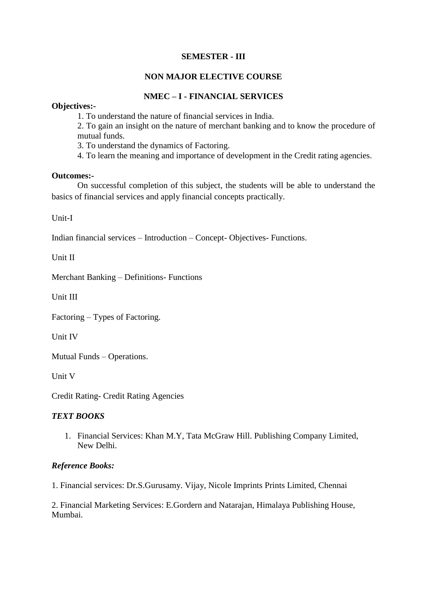## **NON MAJOR ELECTIVE COURSE**

## **NMEC – I - FINANCIAL SERVICES**

#### **Objectives:-**

1. To understand the nature of financial services in India.

2. To gain an insight on the nature of merchant banking and to know the procedure of mutual funds.

3. To understand the dynamics of Factoring.

4. To learn the meaning and importance of development in the Credit rating agencies.

#### **Outcomes:-**

On successful completion of this subject, the students will be able to understand the basics of financial services and apply financial concepts practically.

Unit-I

Indian financial services – Introduction – Concept- Objectives- Functions.

Unit II

Merchant Banking – Definitions- Functions

Unit III

Factoring – Types of Factoring.

Unit IV

Mutual Funds – Operations.

Unit V

Credit Rating- Credit Rating Agencies

#### *TEXT BOOKS*

1. Financial Services: Khan M.Y, Tata McGraw Hill. Publishing Company Limited, New Delhi.

#### *Reference Books:*

1. Financial services: Dr.S.Gurusamy. Vijay, Nicole Imprints Prints Limited, Chennai

2. Financial Marketing Services: E.Gordern and Natarajan, Himalaya Publishing House, Mumbai.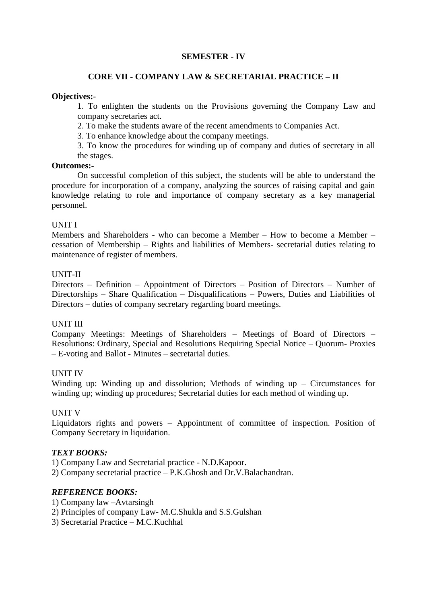### **CORE VII - COMPANY LAW & SECRETARIAL PRACTICE – II**

#### **Objectives:-**

1. To enlighten the students on the Provisions governing the Company Law and company secretaries act.

2. To make the students aware of the recent amendments to Companies Act.

3. To enhance knowledge about the company meetings.

3. To know the procedures for winding up of company and duties of secretary in all the stages.

#### **Outcomes:-**

On successful completion of this subject, the students will be able to understand the procedure for incorporation of a company, analyzing the sources of raising capital and gain knowledge relating to role and importance of company secretary as a key managerial personnel.

#### UNIT I

Members and Shareholders - who can become a Member – How to become a Member – cessation of Membership – Rights and liabilities of Members- secretarial duties relating to maintenance of register of members.

#### UNIT-II

Directors – Definition – Appointment of Directors – Position of Directors – Number of Directorships – Share Qualification – Disqualifications – Powers, Duties and Liabilities of Directors – duties of company secretary regarding board meetings.

#### UNIT III

Company Meetings: Meetings of Shareholders – Meetings of Board of Directors – Resolutions: Ordinary, Special and Resolutions Requiring Special Notice – Quorum- Proxies – E-voting and Ballot - Minutes – secretarial duties.

#### UNIT IV

Winding up: Winding up and dissolution; Methods of winding up  $-$  Circumstances for winding up; winding up procedures; Secretarial duties for each method of winding up.

#### UNIT V

Liquidators rights and powers – Appointment of committee of inspection. Position of Company Secretary in liquidation.

#### *TEXT BOOKS:*

1) Company Law and Secretarial practice - N.D.Kapoor. 2) Company secretarial practice – P.K.Ghosh and Dr.V.Balachandran.

## *REFERENCE BOOKS:*

1) Company law –Avtarsingh

2) Principles of company Law- M.C.Shukla and S.S.Gulshan

3) Secretarial Practice – M.C.Kuchhal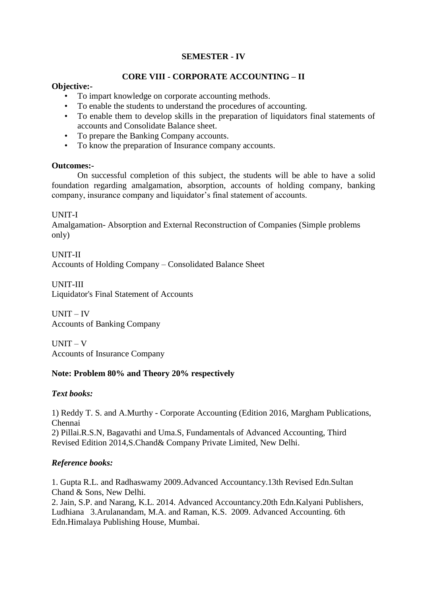## **CORE VIII - CORPORATE ACCOUNTING – II**

#### **Objective:-**

- To impart knowledge on corporate accounting methods.
- To enable the students to understand the procedures of accounting.
- To enable them to develop skills in the preparation of liquidators final statements of accounts and Consolidate Balance sheet.
- To prepare the Banking Company accounts.
- To know the preparation of Insurance company accounts.

#### **Outcomes:-**

On successful completion of this subject, the students will be able to have a solid foundation regarding amalgamation, absorption, accounts of holding company, banking company, insurance company and liquidator's final statement of accounts.

#### UNIT-I

Amalgamation- Absorption and External Reconstruction of Companies (Simple problems only)

UNIT-II Accounts of Holding Company – Consolidated Balance Sheet

UNIT-III Liquidator's Final Statement of Accounts

UNIT – IV Accounts of Banking Company

UNIT – V Accounts of Insurance Company

## **Note: Problem 80% and Theory 20% respectively**

#### *Text books:*

1) Reddy T. S. and A.Murthy - Corporate Accounting (Edition 2016, Margham Publications, Chennai 2) Pillai.R.S.N, Bagavathi and Uma.S, Fundamentals of Advanced Accounting, Third

Revised Edition 2014,S.Chand& Company Private Limited, New Delhi.

#### *Reference books:*

1. Gupta R.L. and Radhaswamy 2009.Advanced Accountancy.13th Revised Edn.Sultan Chand & Sons, New Delhi.

2. Jain, S.P. and Narang, K.L. 2014. Advanced Accountancy.20th Edn.Kalyani Publishers, Ludhiana 3.Arulanandam, M.A. and Raman, K.S. 2009. Advanced Accounting. 6th Edn.Himalaya Publishing House, Mumbai.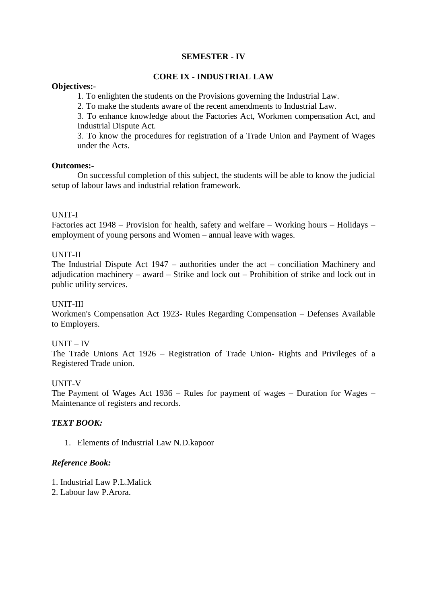## **CORE IX - INDUSTRIAL LAW**

#### **Objectives:-**

1. To enlighten the students on the Provisions governing the Industrial Law.

2. To make the students aware of the recent amendments to Industrial Law.

3. To enhance knowledge about the Factories Act, Workmen compensation Act, and Industrial Dispute Act.

3. To know the procedures for registration of a Trade Union and Payment of Wages under the Acts.

#### **Outcomes:-**

On successful completion of this subject, the students will be able to know the judicial setup of labour laws and industrial relation framework.

## UNIT-I

Factories act 1948 – Provision for health, safety and welfare – Working hours – Holidays – employment of young persons and Women – annual leave with wages.

#### UNIT-II

The Industrial Dispute Act 1947 – authorities under the act – conciliation Machinery and adjudication machinery – award – Strike and lock out – Prohibition of strike and lock out in public utility services.

#### UNIT-III

Workmen's Compensation Act 1923- Rules Regarding Compensation – Defenses Available to Employers.

#### UNIT – IV

The Trade Unions Act 1926 – Registration of Trade Union- Rights and Privileges of a Registered Trade union.

#### UNIT-V

The Payment of Wages Act 1936 – Rules for payment of wages – Duration for Wages – Maintenance of registers and records.

#### *TEXT BOOK:*

1. Elements of Industrial Law N.D.kapoor

#### *Reference Book:*

- 1. Industrial Law P.L.Malick
- 2. Labour law P.Arora.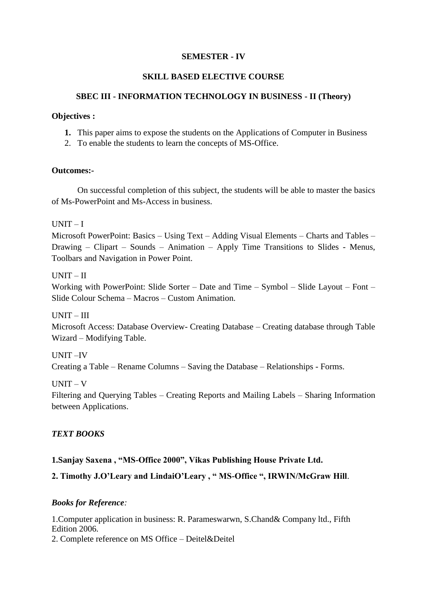## **SKILL BASED ELECTIVE COURSE**

## **SBEC III - INFORMATION TECHNOLOGY IN BUSINESS - II (Theory)**

#### **Objectives :**

- **1.** This paper aims to expose the students on the Applications of Computer in Business
- 2. To enable the students to learn the concepts of MS-Office.

#### **Outcomes:-**

On successful completion of this subject, the students will be able to master the basics of Ms-PowerPoint and Ms-Access in business.

 $IINT - I$ 

Microsoft PowerPoint: Basics – Using Text – Adding Visual Elements – Charts and Tables – Drawing – Clipart – Sounds – Animation – Apply Time Transitions to Slides - Menus, Toolbars and Navigation in Power Point.

UNIT – II

Working with PowerPoint: Slide Sorter – Date and Time – Symbol – Slide Layout – Font – Slide Colour Schema – Macros – Custom Animation.

UNIT – III

Microsoft Access: Database Overview- Creating Database – Creating database through Table Wizard – Modifying Table.

UNIT –IV

Creating a Table – Rename Columns – Saving the Database – Relationships - Forms.

UNIT – V

Filtering and Querying Tables – Creating Reports and Mailing Labels – Sharing Information between Applications.

## *TEXT BOOKS*

## **1.Sanjay Saxena , "MS-Office 2000", Vikas Publishing House Private Ltd.**

**2. Timothy J.O'Leary and LindaiO'Leary , " MS-Office ", IRWIN/McGraw Hill**.

#### *Books for Reference:*

1.Computer application in business: R. Parameswarwn, S.Chand& Company ltd., Fifth Edition 2006.

2. Complete reference on MS Office – Deitel&Deitel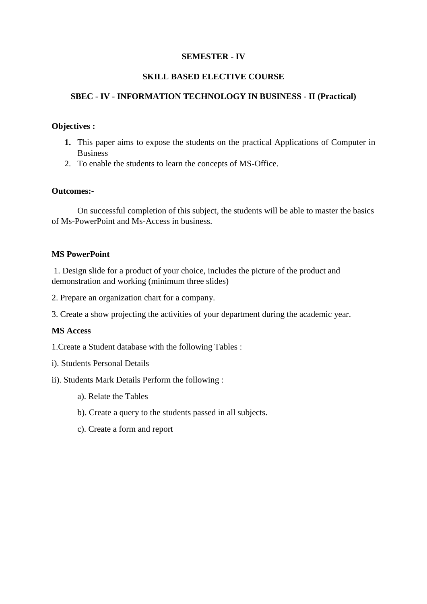## **SKILL BASED ELECTIVE COURSE**

## **SBEC - IV - INFORMATION TECHNOLOGY IN BUSINESS - II (Practical)**

### **Objectives :**

- **1.** This paper aims to expose the students on the practical Applications of Computer in Business
- 2. To enable the students to learn the concepts of MS-Office.

#### **Outcomes:-**

On successful completion of this subject, the students will be able to master the basics of Ms-PowerPoint and Ms-Access in business.

## **MS PowerPoint**

1. Design slide for a product of your choice, includes the picture of the product and demonstration and working (minimum three slides)

2. Prepare an organization chart for a company.

3. Create a show projecting the activities of your department during the academic year.

#### **MS Access**

1.Create a Student database with the following Tables :

- i). Students Personal Details
- ii). Students Mark Details Perform the following :
	- a). Relate the Tables
	- b). Create a query to the students passed in all subjects.
	- c). Create a form and report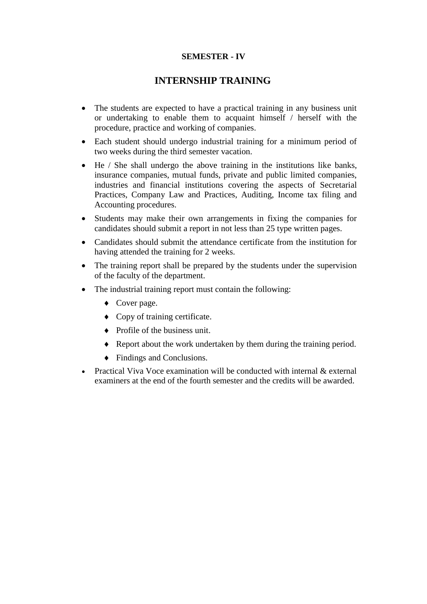## **INTERNSHIP TRAINING**

- The students are expected to have a practical training in any business unit or undertaking to enable them to acquaint himself / herself with the procedure, practice and working of companies.
- Each student should undergo industrial training for a minimum period of two weeks during the third semester vacation.
- He / She shall undergo the above training in the institutions like banks, insurance companies, mutual funds, private and public limited companies, industries and financial institutions covering the aspects of Secretarial Practices, Company Law and Practices, Auditing, Income tax filing and Accounting procedures.
- Students may make their own arrangements in fixing the companies for candidates should submit a report in not less than 25 type written pages.
- Candidates should submit the attendance certificate from the institution for having attended the training for 2 weeks.
- The training report shall be prepared by the students under the supervision of the faculty of the department.
- The industrial training report must contain the following:
	- Cover page.
	- Copy of training certificate.
	- Profile of the business unit.
	- Report about the work undertaken by them during the training period.
	- Findings and Conclusions.
- Practical Viva Voce examination will be conducted with internal & external examiners at the end of the fourth semester and the credits will be awarded.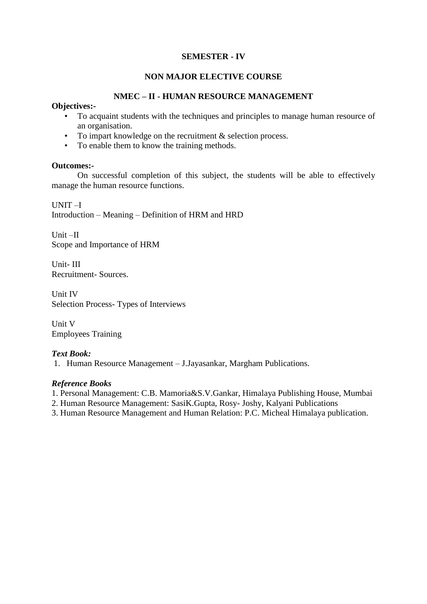## **NON MAJOR ELECTIVE COURSE**

## **NMEC – II - HUMAN RESOURCE MANAGEMENT**

#### **Objectives:-**

- To acquaint students with the techniques and principles to manage human resource of an organisation.
- To impart knowledge on the recruitment & selection process.
- To enable them to know the training methods.

#### **Outcomes:-**

On successful completion of this subject, the students will be able to effectively manage the human resource functions.

UNIT –I Introduction – Meaning – Definition of HRM and HRD

Unit –II Scope and Importance of HRM

Unit- III Recruitment- Sources.

Unit IV Selection Process- Types of Interviews

Unit V Employees Training

#### *Text Book:*

1. Human Resource Management – J.Jayasankar, Margham Publications.

#### *Reference Books*

- 1. Personal Management: C.B. Mamoria&S.V.Gankar, Himalaya Publishing House, Mumbai
- 2. Human Resource Management: SasiK.Gupta, Rosy- Joshy, Kalyani Publications
- 3. Human Resource Management and Human Relation: P.C. Micheal Himalaya publication.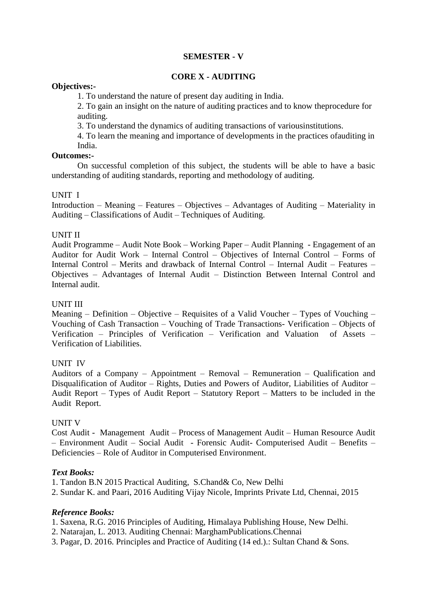### **CORE X - AUDITING**

#### **Objectives:-**

1. To understand the nature of present day auditing in India.

2. To gain an insight on the nature of auditing practices and to know theprocedure for auditing.

3. To understand the dynamics of auditing transactions of variousinstitutions.

4. To learn the meaning and importance of developments in the practices ofauditing in India.

#### **Outcomes:-**

On successful completion of this subject, the students will be able to have a basic understanding of auditing standards, reporting and methodology of auditing.

#### UNIT I

Introduction – Meaning – Features – Objectives – Advantages of Auditing – Materiality in Auditing – Classifications of Audit – Techniques of Auditing.

### UNIT II

Audit Programme – Audit Note Book – Working Paper – Audit Planning - Engagement of an Auditor for Audit Work – Internal Control – Objectives of Internal Control – Forms of Internal Control – Merits and drawback of Internal Control – Internal Audit – Features – Objectives – Advantages of Internal Audit – Distinction Between Internal Control and Internal audit.

#### UNIT III

Meaning – Definition – Objective – Requisites of a Valid Voucher – Types of Vouching – Vouching of Cash Transaction – Vouching of Trade Transactions- Verification – Objects of Verification – Principles of Verification – Verification and Valuation of Assets – Verification of Liabilities.

#### UNIT IV

Auditors of a Company – Appointment – Removal – Remuneration – Qualification and Disqualification of Auditor – Rights, Duties and Powers of Auditor, Liabilities of Auditor – Audit Report – Types of Audit Report – Statutory Report – Matters to be included in the Audit Report.

#### UNIT V

Cost Audit - Management Audit – Process of Management Audit – Human Resource Audit – Environment Audit – Social Audit - Forensic Audit- Computerised Audit – Benefits – Deficiencies – Role of Auditor in Computerised Environment.

#### *Text Books:*

1. Tandon B.N 2015 Practical Auditing, S.Chand& Co, New Delhi

2. Sundar K. and Paari, 2016 Auditing Vijay Nicole, Imprints Private Ltd, Chennai, 2015

#### *Reference Books:*

- 1. Saxena, R.G. 2016 Principles of Auditing, Himalaya Publishing House, New Delhi.
- 2. Natarajan, L. 2013. Auditing Chennai: MarghamPublications.Chennai
- 3. Pagar, D. 2016. Principles and Practice of Auditing (14 ed.).: Sultan Chand & Sons.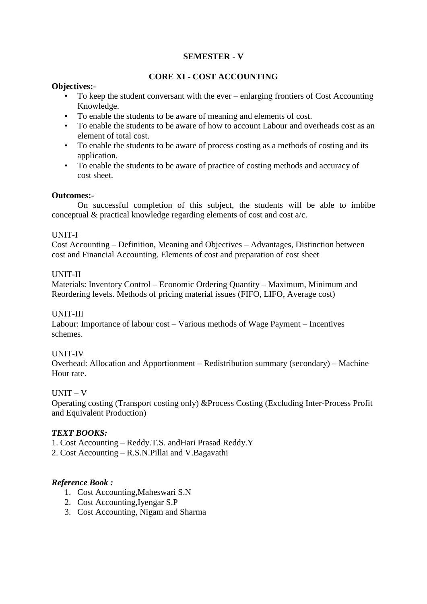## **CORE XI - COST ACCOUNTING**

#### **Objectives:-**

- To keep the student conversant with the ever enlarging frontiers of Cost Accounting Knowledge.
- To enable the students to be aware of meaning and elements of cost.
- To enable the students to be aware of how to account Labour and overheads cost as an element of total cost.
- To enable the students to be aware of process costing as a methods of costing and its application.
- To enable the students to be aware of practice of costing methods and accuracy of cost sheet.

## **Outcomes:-**

On successful completion of this subject, the students will be able to imbibe conceptual & practical knowledge regarding elements of cost and cost a/c.

## UNIT-I

Cost Accounting – Definition, Meaning and Objectives – Advantages, Distinction between cost and Financial Accounting. Elements of cost and preparation of cost sheet

## UNIT-II

Materials: Inventory Control – Economic Ordering Quantity – Maximum, Minimum and Reordering levels. Methods of pricing material issues (FIFO, LIFO, Average cost)

## UNIT-III

Labour: Importance of labour cost – Various methods of Wage Payment – Incentives schemes.

## UNIT-IV

Overhead: Allocation and Apportionment – Redistribution summary (secondary) – Machine Hour rate.

## $IINT - V$

Operating costing (Transport costing only) &Process Costing (Excluding Inter-Process Profit and Equivalent Production)

#### *TEXT BOOKS:*

- 1. Cost Accounting Reddy.T.S. andHari Prasad Reddy.Y
- 2. Cost Accounting R.S.N.Pillai and V.Bagavathi

## *Reference Book :*

- 1. Cost Accounting,Maheswari S.N
- 2. Cost Accounting,Iyengar S.P
- 3. Cost Accounting, Nigam and Sharma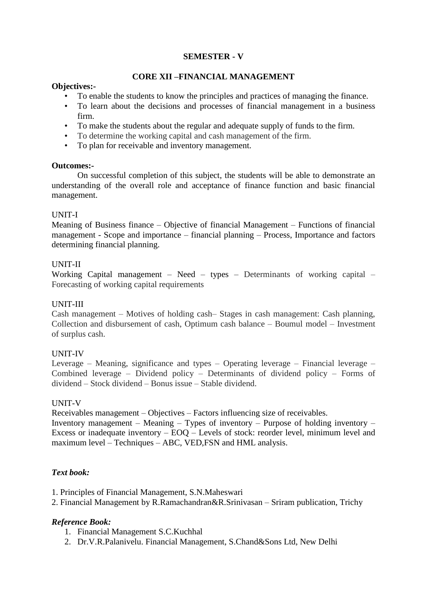## **CORE XII –FINANCIAL MANAGEMENT**

#### **Objectives:-**

- To enable the students to know the principles and practices of managing the finance.
- To learn about the decisions and processes of financial management in a business firm.
- To make the students about the regular and adequate supply of funds to the firm.
- To determine the working capital and cash management of the firm.
- To plan for receivable and inventory management.

#### **Outcomes:-**

On successful completion of this subject, the students will be able to demonstrate an understanding of the overall role and acceptance of finance function and basic financial management.

## UNIT-I

Meaning of Business finance – Objective of financial Management – Functions of financial management - Scope and importance – financial planning – Process, Importance and factors determining financial planning.

#### UNIT-II

Working Capital management – Need – types – Determinants of working capital – Forecasting of working capital requirements

### UNIT-III

Cash management – Motives of holding cash– Stages in cash management: Cash planning, Collection and disbursement of cash, Optimum cash balance – Boumul model – Investment of surplus cash.

#### UNIT-IV

Leverage – Meaning, significance and types – Operating leverage – Financial leverage – Combined leverage – Dividend policy – Determinants of dividend policy – Forms of dividend – Stock dividend – Bonus issue – Stable dividend.

#### UNIT-V

Receivables management – Objectives – Factors influencing size of receivables.

Inventory management – Meaning – Types of inventory – Purpose of holding inventory – Excess or inadequate inventory – EOQ – Levels of stock: reorder level, minimum level and maximum level – Techniques – ABC, VED,FSN and HML analysis.

## *Text book:*

- 1. Principles of Financial Management, S.N.Maheswari
- 2. Financial Management by R.Ramachandran&R.Srinivasan Sriram publication, Trichy

## *Reference Book:*

- 1. Financial Management S.C.Kuchhal
- 2. Dr.V.R.Palanivelu. Financial Management, S.Chand&Sons Ltd, New Delhi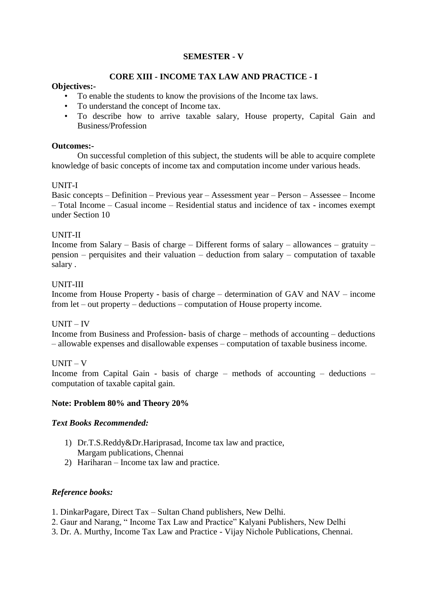## **CORE XIII - INCOME TAX LAW AND PRACTICE - I**

#### **Objectives:-**

- To enable the students to know the provisions of the Income tax laws.
- To understand the concept of Income tax.
- To describe how to arrive taxable salary, House property, Capital Gain and Business/Profession

#### **Outcomes:-**

On successful completion of this subject, the students will be able to acquire complete knowledge of basic concepts of income tax and computation income under various heads.

#### UNIT-I

Basic concepts – Definition – Previous year – Assessment year – Person – Assessee – Income – Total Income – Casual income – Residential status and incidence of tax - incomes exempt under Section 10

#### UNIT-II

Income from Salary – Basis of charge – Different forms of salary – allowances – gratuity – pension – perquisites and their valuation – deduction from salary – computation of taxable salary .

#### UNIT-III

Income from House Property - basis of charge – determination of GAV and NAV – income from let – out property – deductions – computation of House property income.

#### UNIT – IV

Income from Business and Profession- basis of charge – methods of accounting – deductions – allowable expenses and disallowable expenses – computation of taxable business income.

#### UNIT – V

Income from Capital Gain - basis of charge – methods of accounting – deductions – computation of taxable capital gain.

#### **Note: Problem 80% and Theory 20%**

#### *Text Books Recommended:*

- 1) Dr.T.S.Reddy&Dr.Hariprasad, Income tax law and practice, Margam publications, Chennai
- 2) Hariharan Income tax law and practice.

#### *Reference books:*

1. DinkarPagare, Direct Tax – Sultan Chand publishers, New Delhi.

- 2. Gaur and Narang, " Income Tax Law and Practice" Kalyani Publishers, New Delhi
- 3. Dr. A. Murthy, Income Tax Law and Practice Vijay Nichole Publications, Chennai.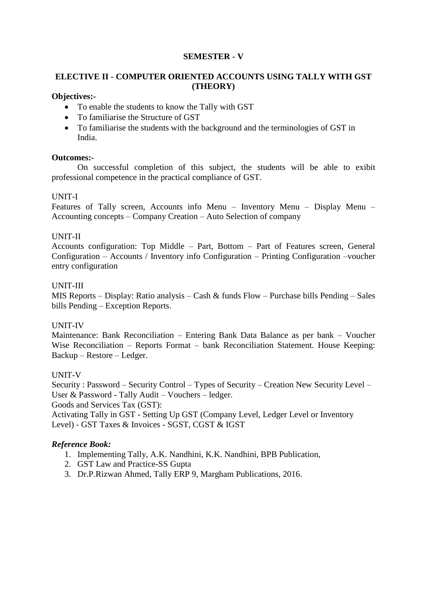## **ELECTIVE II - COMPUTER ORIENTED ACCOUNTS USING TALLY WITH GST (THEORY)**

## **Objectives:-**

- To enable the students to know the Tally with GST
- To familiarise the Structure of GST
- To familiarise the students with the background and the terminologies of GST in India.

## **Outcomes:-**

On successful completion of this subject, the students will be able to exibit professional competence in the practical compliance of GST.

## UNIT-I

Features of Tally screen, Accounts info Menu – Inventory Menu – Display Menu – Accounting concepts – Company Creation – Auto Selection of company

## UNIT-II

Accounts configuration: Top Middle – Part, Bottom – Part of Features screen, General Configuration – Accounts / Inventory info Configuration – Printing Configuration –voucher entry configuration

## UNIT-III

MIS Reports – Display: Ratio analysis – Cash & funds Flow – Purchase bills Pending – Sales bills Pending – Exception Reports.

## UNIT-IV

Maintenance: Bank Reconciliation – Entering Bank Data Balance as per bank – Voucher Wise Reconciliation – Reports Format – bank Reconciliation Statement. House Keeping: Backup – Restore – Ledger.

## UNIT-V

Security : Password – Security Control – Types of Security – Creation New Security Level – User & Password - Tally Audit – Vouchers – ledger. Goods and Services Tax (GST):

Activating Tally in GST - Setting Up GST (Company Level, Ledger Level or Inventory Level) - GST Taxes & Invoices - SGST, CGST & IGST

## *Reference Book:*

- 1. Implementing Tally, A.K. Nandhini, K.K. Nandhini, BPB Publication,
- 2. GST Law and Practice-SS Gupta
- 3. Dr.P.Rizwan Ahmed, Tally ERP 9, Margham Publications, 2016.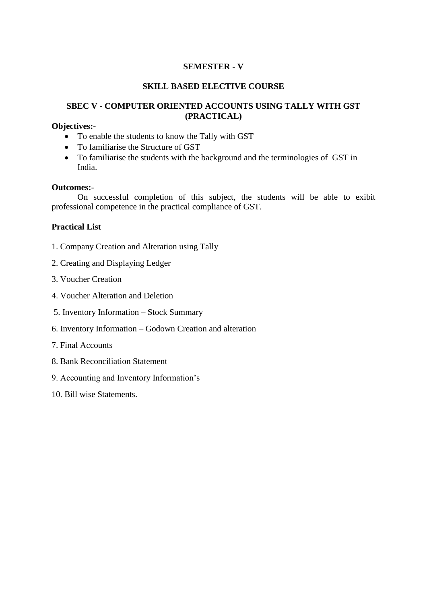### **SKILL BASED ELECTIVE COURSE**

## **SBEC V - COMPUTER ORIENTED ACCOUNTS USING TALLY WITH GST (PRACTICAL)**

#### **Objectives:-**

- To enable the students to know the Tally with GST
- To familiarise the Structure of GST
- To familiarise the students with the background and the terminologies of GST in India.

#### **Outcomes:-**

On successful completion of this subject, the students will be able to exibit professional competence in the practical compliance of GST.

#### **Practical List**

- 1. Company Creation and Alteration using Tally
- 2. Creating and Displaying Ledger
- 3. Voucher Creation
- 4. Voucher Alteration and Deletion
- 5. Inventory Information Stock Summary
- 6. Inventory Information Godown Creation and alteration
- 7. Final Accounts
- 8. Bank Reconciliation Statement
- 9. Accounting and Inventory Information's
- 10. Bill wise Statements.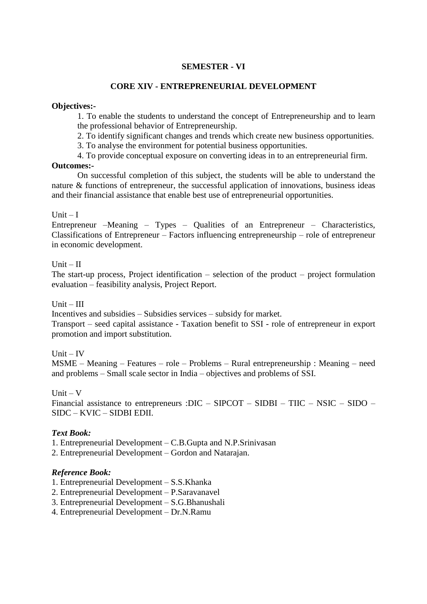## **CORE XIV - ENTREPRENEURIAL DEVELOPMENT**

#### **Objectives:-**

1. To enable the students to understand the concept of Entrepreneurship and to learn the professional behavior of Entrepreneurship.

2. To identify significant changes and trends which create new business opportunities.

3. To analyse the environment for potential business opportunities.

4. To provide conceptual exposure on converting ideas in to an entrepreneurial firm.

#### **Outcomes:-**

On successful completion of this subject, the students will be able to understand the nature & functions of entrepreneur, the successful application of innovations, business ideas and their financial assistance that enable best use of entrepreneurial opportunities.

#### Unit  $-I$

Entrepreneur –Meaning – Types – Qualities of an Entrepreneur – Characteristics, Classifications of Entrepreneur – Factors influencing entrepreneurship – role of entrepreneur in economic development.

#### $Unit - II$

The start-up process, Project identification – selection of the product – project formulation evaluation – feasibility analysis, Project Report.

#### $Unit - III$

Incentives and subsidies – Subsidies services – subsidy for market.

Transport – seed capital assistance - Taxation benefit to SSI - role of entrepreneur in export promotion and import substitution.

 $Unit - IV$ 

MSME – Meaning – Features – role – Problems – Rural entrepreneurship : Meaning – need and problems – Small scale sector in India – objectives and problems of SSI.

 $Unit - V$ 

Financial assistance to entrepreneurs :DIC – SIPCOT – SIDBI – TIIC – NSIC – SIDO – SIDC – KVIC – SIDBI EDII.

#### *Text Book:*

1. Entrepreneurial Development – C.B.Gupta and N.P.Srinivasan

2. Entrepreneurial Development – Gordon and Natarajan.

#### *Reference Book:*

1. Entrepreneurial Development – S.S.Khanka

- 2. Entrepreneurial Development P.Saravanavel
- 3. Entrepreneurial Development S.G.Bhanushali
- 4. Entrepreneurial Development Dr.N.Ramu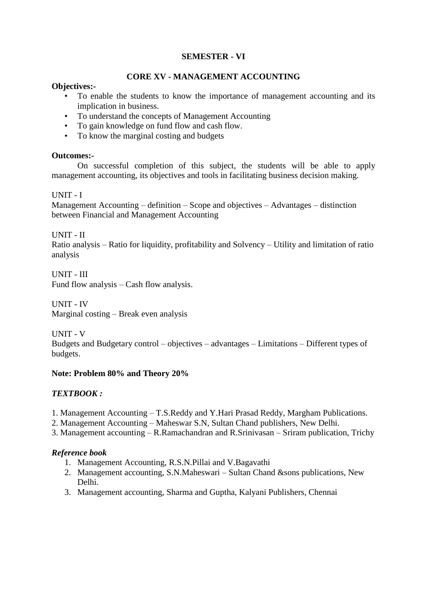## **CORE XV - MANAGEMENT ACCOUNTING**

#### **Objectives:-**

- To enable the students to know the importance of management accounting and its implication in business.
- To understand the concepts of Management Accounting
- To gain knowledge on fund flow and cash flow.
- To know the marginal costing and budgets

#### **Outcomes:-**

On successful completion of this subject, the students will be able to apply management accounting, its objectives and tools in facilitating business decision making.

#### UNIT - I

Management Accounting – definition – Scope and objectives – Advantages – distinction between Financial and Management Accounting

UNIT - II

Ratio analysis – Ratio for liquidity, profitability and Solvency – Utility and limitation of ratio analysis

UNIT - III Fund flow analysis – Cash flow analysis.

UNIT - IV Marginal costing – Break even analysis

UNIT - V

Budgets and Budgetary control – objectives – advantages – Limitations – Different types of budgets.

#### **Note: Problem 80% and Theory 20%**

## *TEXTBOOK :*

- 1. Management Accounting T.S.Reddy and Y.Hari Prasad Reddy, Margham Publications.
- 2. Management Accounting Maheswar S.N, Sultan Chand publishers, New Delhi.
- 3. Management accounting R.Ramachandran and R.Srinivasan Sriram publication, Trichy

#### *Reference book*

- 1. Management Accounting, R.S.N.Pillai and V.Bagavathi
- 2. Management accounting, S.N.Maheswari Sultan Chand &sons publications, New Delhi.
- 3. Management accounting, Sharma and Guptha, Kalyani Publishers, Chennai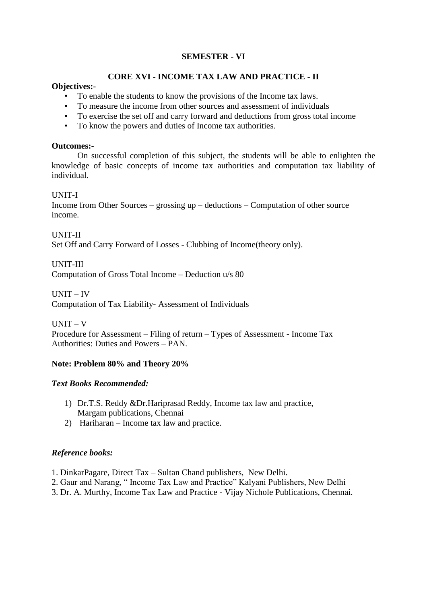## **CORE XVI - INCOME TAX LAW AND PRACTICE - II**

#### **Objectives:-**

- To enable the students to know the provisions of the Income tax laws.
- To measure the income from other sources and assessment of individuals
- To exercise the set off and carry forward and deductions from gross total income
- To know the powers and duties of Income tax authorities.

#### **Outcomes:-**

On successful completion of this subject, the students will be able to enlighten the knowledge of basic concepts of income tax authorities and computation tax liability of individual.

#### UNIT-I

Income from Other Sources – grossing up – deductions – Computation of other source income.

UNIT-II Set Off and Carry Forward of Losses - Clubbing of Income(theory only).

#### UNIT-III

Computation of Gross Total Income – Deduction u/s 80

#### UNIT – IV

Computation of Tax Liability- Assessment of Individuals

 $UNIT - V$ 

Procedure for Assessment – Filing of return – Types of Assessment - Income Tax Authorities: Duties and Powers – PAN.

#### **Note: Problem 80% and Theory 20%**

#### *Text Books Recommended:*

- 1) Dr.T.S. Reddy &Dr.Hariprasad Reddy, Income tax law and practice, Margam publications, Chennai
- 2) Hariharan Income tax law and practice.

## *Reference books:*

- 1. DinkarPagare, Direct Tax Sultan Chand publishers, New Delhi.
- 2. Gaur and Narang, " Income Tax Law and Practice" Kalyani Publishers, New Delhi
- 3. Dr. A. Murthy, Income Tax Law and Practice Vijay Nichole Publications, Chennai.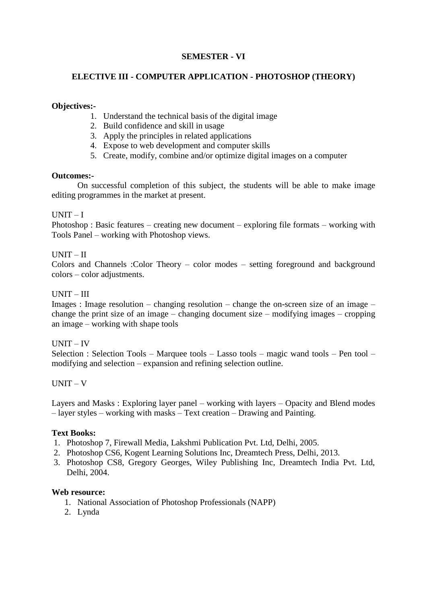## **ELECTIVE III - COMPUTER APPLICATION - PHOTOSHOP (THEORY)**

#### **Objectives:-**

- 1. Understand the technical basis of the digital image
- 2. Build confidence and skill in usage
- 3. Apply the principles in related applications
- 4. Expose to web development and computer skills
- 5. Create, modify, combine and/or optimize digital images on a computer

#### **Outcomes:-**

On successful completion of this subject, the students will be able to make image editing programmes in the market at present.

#### $UNIT - I$

Photoshop : Basic features – creating new document – exploring file formats – working with Tools Panel – working with Photoshop views.

#### UNIT – II

Colors and Channels :Color Theory – color modes – setting foreground and background colors – color adjustments.

#### UNIT – III

Images : Image resolution – changing resolution – change the on-screen size of an image – change the print size of an image – changing document size – modifying images – cropping an image – working with shape tools

#### UNIT – IV

Selection : Selection Tools – Marquee tools – Lasso tools – magic wand tools – Pen tool – modifying and selection – expansion and refining selection outline.

#### $UNIT - V$

Layers and Masks : Exploring layer panel – working with layers – Opacity and Blend modes – layer styles – working with masks – Text creation – Drawing and Painting.

#### **Text Books:**

- 1. Photoshop 7, Firewall Media, Lakshmi Publication Pvt. Ltd, Delhi, 2005.
- 2. Photoshop CS6, Kogent Learning Solutions Inc, Dreamtech Press, Delhi, 2013.
- 3. Photoshop CS8, Gregory Georges, Wiley Publishing Inc, Dreamtech India Pvt. Ltd, Delhi, 2004.

#### **Web resource:**

- 1. National Association of Photoshop Professionals (NAPP)
- 2. Lynda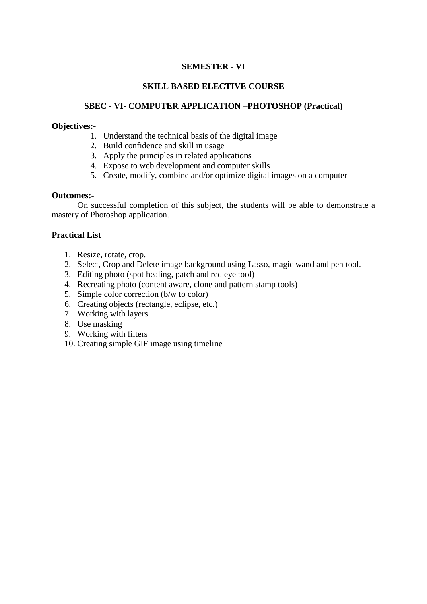## **SKILL BASED ELECTIVE COURSE**

## **SBEC - VI- COMPUTER APPLICATION –PHOTOSHOP (Practical)**

#### **Objectives:-**

- 1. Understand the technical basis of the digital image
- 2. Build confidence and skill in usage
- 3. Apply the principles in related applications
- 4. Expose to web development and computer skills
- 5. Create, modify, combine and/or optimize digital images on a computer

#### **Outcomes:-**

On successful completion of this subject, the students will be able to demonstrate a mastery of Photoshop application.

#### **Practical List**

- 1. Resize, rotate, crop.
- 2. Select, Crop and Delete image background using Lasso, magic wand and pen tool.
- 3. Editing photo (spot healing, patch and red eye tool)
- 4. Recreating photo (content aware, clone and pattern stamp tools)
- 5. Simple color correction (b/w to color)
- 6. Creating objects (rectangle, eclipse, etc.)
- 7. Working with layers
- 8. Use masking
- 9. Working with filters
- 10. Creating simple GIF image using timeline